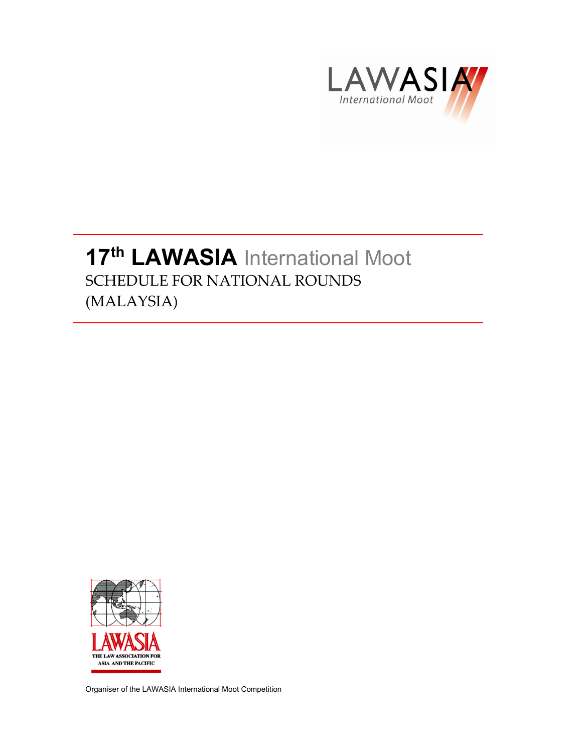

## 17<sup>th</sup> LAWASIA International Moot SCHEDULE FOR NATIONAL ROUNDS (MALAYSIA)



Organiser of the LAWASIA International Moot Competition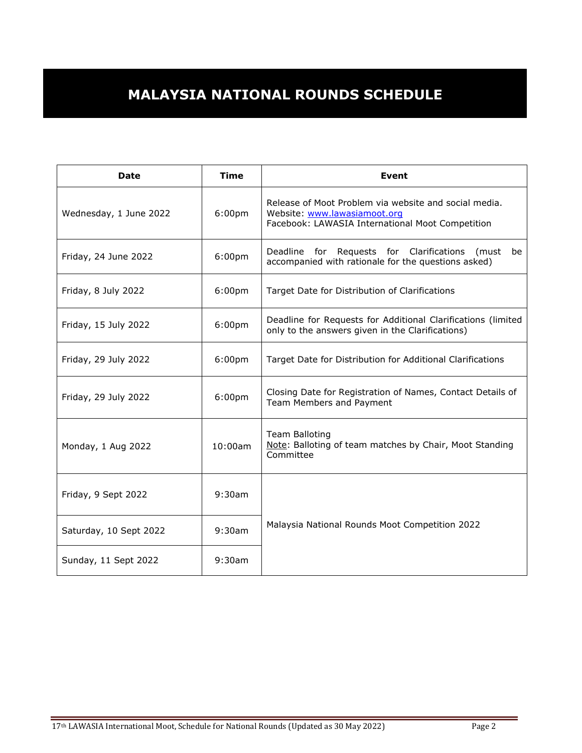## **MALAYSIA NATIONAL ROUNDS SCHEDULE**

| <b>Date</b>            | <b>Time</b>        | <b>Event</b>                                                                                                                              |
|------------------------|--------------------|-------------------------------------------------------------------------------------------------------------------------------------------|
| Wednesday, 1 June 2022 | 6:00 <sub>pm</sub> | Release of Moot Problem via website and social media.<br>Website: www.lawasiamoot.org<br>Facebook: LAWASIA International Moot Competition |
| Friday, 24 June 2022   | 6:00 <sub>pm</sub> | Deadline for Requests for Clarifications (must<br>be<br>accompanied with rationale for the questions asked)                               |
| Friday, 8 July 2022    | 6:00 <sub>pm</sub> | Target Date for Distribution of Clarifications                                                                                            |
| Friday, 15 July 2022   | 6:00 <sub>pm</sub> | Deadline for Requests for Additional Clarifications (limited<br>only to the answers given in the Clarifications)                          |
| Friday, 29 July 2022   | 6:00 <sub>pm</sub> | Target Date for Distribution for Additional Clarifications                                                                                |
| Friday, 29 July 2022   | 6:00 <sub>pm</sub> | Closing Date for Registration of Names, Contact Details of<br>Team Members and Payment                                                    |
| Monday, 1 Aug 2022     | 10:00am            | Team Balloting<br>Note: Balloting of team matches by Chair, Moot Standing<br>Committee                                                    |
| Friday, 9 Sept 2022    | 9:30am             |                                                                                                                                           |
| Saturday, 10 Sept 2022 | 9:30am             | Malaysia National Rounds Moot Competition 2022                                                                                            |
| Sunday, 11 Sept 2022   | 9:30am             |                                                                                                                                           |